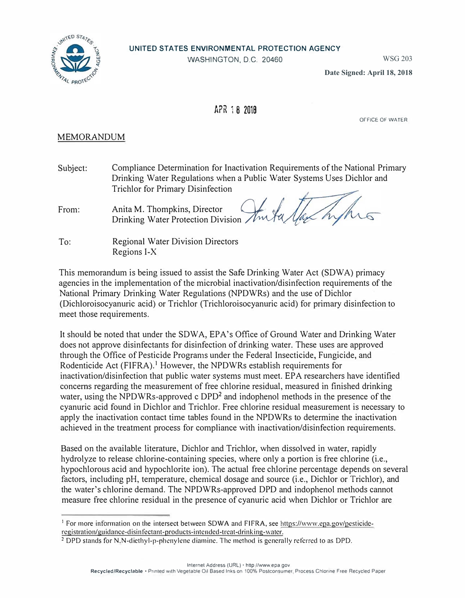

WASHINGTON, O.C. 20460

WSG 203

**Date Signed: April 18, 2018**

## **APR 1 8 2018**

OFFICE OF WATER

## MEMORANDUM

Subject: Compliance Determination for Inactivation Requirements of the National Primary Drinking Water Regulations when a Public Water Systems Uses Dichlor and Trichlor for Primary Disinfection

From: Anita M. Thompkins, Director Drinking Water Protection Division

To: Regional Water Division Directors Regions 1-X

This memorandum is being issued to assist the Safe Drinking Water Act (SOWA) primacy agencies in the implementation of the microbial inactivation/disinfection requirements of the National Primary Drinking Water Regulations (NPDWRs) and the use of Dichlor (Dichloroisocyanuric acid) or Trichlor (Trichloroisocyanuric acid) for primary disinfection to meet those requirements.

It should be noted that under the SOWA, EPA's Office of Ground Water and Drinking Water does not approve disinfectants for disinfection of drinking water. These uses are approved through the Office of Pesticide Programs under the Federal Insecticide, Fungicide, and Rodenticide Act (FIFRA).<sup>1</sup> However, the NPDWRs establish requirements for inactivation/disinfection that public water systems must meet. EPA researchers have identified concerns regarding the measurement of free chlorine residual, measured in finished drinking water, using the NPDWRs-approved c DPD<sup>2</sup> and indophenol methods in the presence of the cyanuric acid found in Dichlor and Trichlor. Free chlorine residual measurement is necessary to apply the inactivation contact time tables found in the NPDWRs to determine the inactivation achieved in the treatment process for compliance with inactivation/disinfection requirements.

Based on the available literature, Dichlor and Trichlor, when dissolved in water, rapidly hydrolyze to release chlorine-containing species, where only a portion is free chlorine (i.e., hypochlorous acid and hypochlorite ion). The actual free chlorine percentage depends on several factors, including pH, temperature, chemical dosage and source (i.e., Dichlor or Trichlor), and the water's chlorine demand. The NPDWRs-approved DPD and indophenol methods cannot measure free chlorine residual in the presence of cyanuric acid when Dichlor or Trichlor are

<sup>&</sup>lt;sup>1</sup> For more information on the intersect between SDWA and FIFRA, see https://www.epa.gov/pesticideregistration/guidance-disinfectant-products-intended-treat-drinking-water.

<sup>&</sup>lt;sup>2</sup> DPD stands for N.N-diethyl-p-phenylene diamine. The method is generally referred to as DPD.